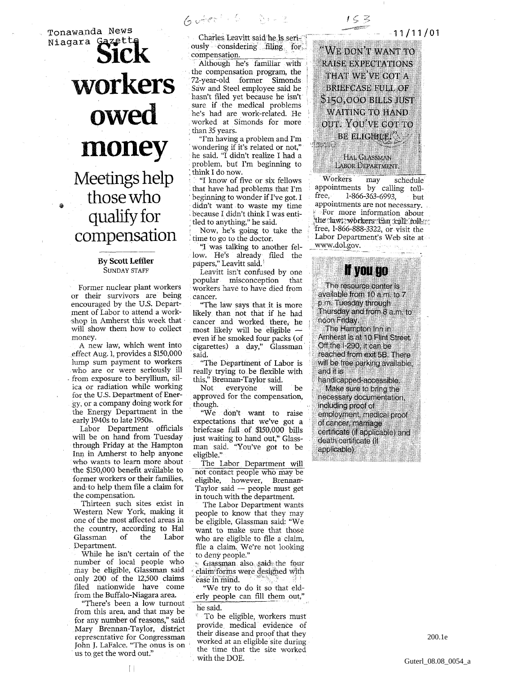Tonawanda News Niagara Gazette **SICK** workers owed money Meetings help those who qualify for compensation

## By Scott Leffler SUNDAY STAFF

Former nuclear plant workers or their survivors are being encouraged by the U.S. Department of Labor to attend a workshop in Amherst this week that • will show them how to collect money.

A new law, which went into effect Aug. 1, provides a \$150,000 lump sum payment to workers who are or were seriously ill • from exposure to beryllium, silica or radiation while working for the U.S. Department of Energy, or a company doing work for the Energy Department in the early 1940s to late 1950s.

Labor Department officials will be on hand from Tuesday through Friday at the Hampton Inn in Amherst to help anyone who wants to learn more about the \$150,000 benefit available to former workers or their families, and to help them file a claim for the compensation.

Thirteen such sites exist in Western New York, making it one of the most affected areas in the country, according to Hal Glassman of the Labor Department.

While he isn't certain of the number of local people who may be eligible, Glassman said only 200 of the 12,500 claims filed nationwide have come from the Buffalo-Niagara area.

"There's been a low turnout from this area, and that may be for any number of reasons," said Mary Brennan-Taylor, district representative for Congressman John J. LaFalce. "The onus is on us to. get the word out."

Charles Leavitt said he is seri- • ousiy considering filing for compensation.

 $6.$  Acc  $-6.$   $-6.42$ 

Although he's familiar with the compensation program, the 72-year-old former Simonds Saw and Steel employee said he hasn't filed yet because he isn't sure if the medical problems he's had are work-related. He worked at Simonds for more than 35 years.

"I'm having a problem and I'm wondering if it's related or not," he said. "I didn't realize I had a problem, but I'm beginning to ; think I do now.

*''*I know of five or six fellows that have had problems that I'm beginning to wonder if I've got. I didn't want to waste my time because I didn't think I was enti tled to anything," he said.

*•* Now, he's going to take the time to go to the doctor.

"I was talking to another fel- . low. He's already filed the papers," Leavitt said.

Leavitt isn't confused by one popular misconception that : workers have to have died from cancer.

"The law says that it is more likely than not that if he had cancer and worked there, he most likely will be eligible even if he smoked four packs (of cigarettes) a day," Glassman said.

"The Department of Labor is really trying to be flexible with this," Brennan-Taylor said.

everyone will be approved for the compensation, though.

"We don't want to raise expectations that we've got a briefcase full of \$150,000 bills just waiting to hand out," Glassman said. "You've got to be eligible."

The Labor Department will not contact people who may be eligible, however, Brennan-Taylor said — people must get in touch with the department.

The Labor Department wants people to know that they may be eligible, Glassman said: "We want to make sure that those who are eligible to file a claim, file a claim. We're not looking to deny people."

- Glassman also gaid the four claim forms were designed with ease in mind.

"We try to do it so that elderly people can fill them out," he said.

:; To be eligible, workers must provide, medical evidence of their disease and proof that they worked at an eligible site during the time that the site worked . with the DOE.

"WE DON'T WANT TO RAISE EXPECTATIONS THAT WE'VE GOT A BRIEFCASE FULL OF \$150,00 0 BILLS JUST WAITING TO HAND OUT. YOU'VE GOT TO  $\mathbb{P}_{\mathbb{P}^{(k)}\times\mathbb{P}^{(k)}}$  be eligible,  $\mathbb{P}_{\mathbb{P}^{(k)}}$ 

 $1 \leq \geq$ 

 $-11/11/01$ 

HAL CLASSMAN LABOR DEPARTMENT.

Workers may schedule appointments by calling tollfree, 1-866-363-6993, but appointments are not necessary. For more information abour the claw) -workers: (Ean call: foll- 's free, 1-866-888-3322, or visit the Labor Department's Web site at www.dol.gov.

## **h you go**

The resource center is available from 10 a.m. to 7 p.m. Tuesday through Thursday and from 8 a.m. to noon Friday.

The Hampton Inn in Amherst is at 10 Flint Street Off the I-290, it can be reached from exit 5B. There will be free parking available, and it is

handicapped-accessible. Make sure to bring the necessary documentation, including proof of employment, medical proof of cancer, marriage certificate (if applicable) and death certificate (if applicable).

200.1e